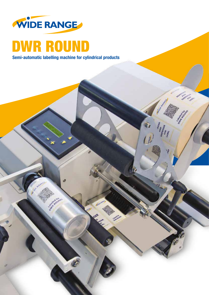

## DWR ROUND

Semi-automatic labelling machine for cylindrical products

ø

**ABO** 

**California Maria** 

Designation

AND AND

**WGE**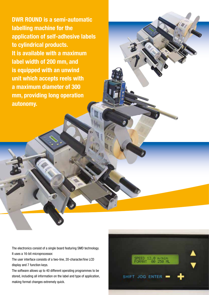DWR ROUND is a semi-automatic labelling machine for the application of self-adhesive labels to cylindrical products. It is available with a maximum label width of 200 mm, and is equipped with an unwind unit which accepts reels with a maximum diameter of 300 mm, providing long operation autonomy.

The electronics consist of a single board featuring SMD technology. It uses a 16-bit microprocessor.

The user interface consists of a two-line, 20-character/line LCD display and 7 function keys.

The software allows up to 40 different operating programmes to be stored, including all information on the label and type of application, making format changes extremely quick.

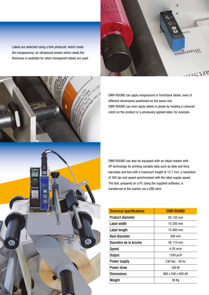Labels are detected using a fork photocell, which reads the transparency; an ultrasound sensor which reads the thickness is available for when transparent labels are used.





DWR ROUND can apply wraparound or front/back labels, even of different dimensions positioned on the same reel. DWR ROUND can even apply labels in phase by reading a coloured notch on the product or a previously applied label, for example.

DWR ROUND can also be equipped with an inkjet marker with HP technology for printing variable data such as date and time, barcodes and text with a maximum height of 12.7 mm, a resolution of 300 dpi and speed synchronised with the label supply speed. The text, prepared on a PC using the supplied software, is transferred to the marker via a USB stick.

| <b>DWR ROUND</b>    |
|---------------------|
| $20 - 130$ mm       |
| 15-200 mm           |
| 15-600 mm           |
| 300 mm              |
| $38 - 110$ mm       |
| $4 - 20$ m/m        |
| 1200 pc/h           |
| 230 Vac - 50 Hz     |
| 200 W               |
| 800 x 500 x 400 (H) |
| 36 Kg               |
|                     |